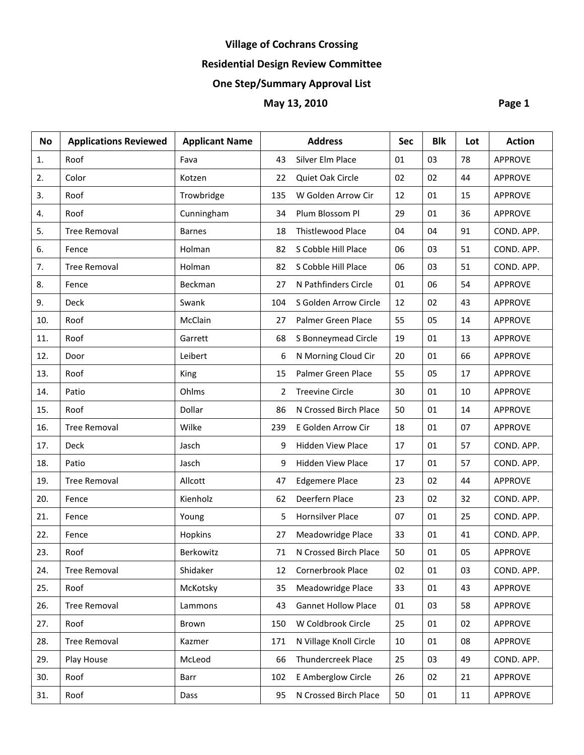# **Residential Design Review Committee**

# **One Step/Summary Approval List**

| <b>No</b> | <b>Applications Reviewed</b> | <b>Applicant Name</b> |     | <b>Address</b>             | <b>Sec</b> | <b>Blk</b> | Lot | <b>Action</b>  |
|-----------|------------------------------|-----------------------|-----|----------------------------|------------|------------|-----|----------------|
| 1.        | Roof                         | Fava                  | 43  | Silver Elm Place           | 01         | 03         | 78  | <b>APPROVE</b> |
| 2.        | Color                        | Kotzen                | 22  | Quiet Oak Circle           | 02         | 02         | 44  | <b>APPROVE</b> |
| 3.        | Roof                         | Trowbridge            | 135 | W Golden Arrow Cir         | 12         | 01         | 15  | <b>APPROVE</b> |
| 4.        | Roof                         | Cunningham            | 34  | Plum Blossom Pl            | 29         | 01         | 36  | <b>APPROVE</b> |
| 5.        | <b>Tree Removal</b>          | <b>Barnes</b>         | 18  | <b>Thistlewood Place</b>   | 04         | 04         | 91  | COND. APP.     |
| 6.        | Fence                        | Holman                | 82  | S Cobble Hill Place        | 06         | 03         | 51  | COND. APP.     |
| 7.        | <b>Tree Removal</b>          | Holman                | 82  | S Cobble Hill Place        | 06         | 03         | 51  | COND. APP.     |
| 8.        | Fence                        | Beckman               | 27  | N Pathfinders Circle       | 01         | 06         | 54  | <b>APPROVE</b> |
| 9.        | Deck                         | Swank                 | 104 | S Golden Arrow Circle      | 12         | 02         | 43  | <b>APPROVE</b> |
| 10.       | Roof                         | McClain               | 27  | Palmer Green Place         | 55         | 05         | 14  | <b>APPROVE</b> |
| 11.       | Roof                         | Garrett               | 68  | S Bonneymead Circle        | 19         | 01         | 13  | <b>APPROVE</b> |
| 12.       | Door                         | Leibert               | 6   | N Morning Cloud Cir        | 20         | 01         | 66  | <b>APPROVE</b> |
| 13.       | Roof                         | King                  | 15  | Palmer Green Place         | 55         | 05         | 17  | <b>APPROVE</b> |
| 14.       | Patio                        | Ohlms                 | 2   | <b>Treevine Circle</b>     | 30         | 01         | 10  | <b>APPROVE</b> |
| 15.       | Roof                         | Dollar                | 86  | N Crossed Birch Place      | 50         | 01         | 14  | <b>APPROVE</b> |
| 16.       | <b>Tree Removal</b>          | Wilke                 | 239 | E Golden Arrow Cir         | 18         | 01         | 07  | <b>APPROVE</b> |
| 17.       | Deck                         | Jasch                 | 9   | Hidden View Place          | 17         | 01         | 57  | COND. APP.     |
| 18.       | Patio                        | Jasch                 | 9   | <b>Hidden View Place</b>   | 17         | 01         | 57  | COND. APP.     |
| 19.       | <b>Tree Removal</b>          | Allcott               | 47  | <b>Edgemere Place</b>      | 23         | 02         | 44  | <b>APPROVE</b> |
| 20.       | Fence                        | Kienholz              | 62  | Deerfern Place             | 23         | 02         | 32  | COND. APP.     |
| 21.       | Fence                        | Young                 | 5   | Hornsilver Place           | 07         | 01         | 25  | COND. APP.     |
| 22.       | Fence                        | Hopkins               | 27  | Meadowridge Place          | 33         | 01         | 41  | COND. APP.     |
| 23.       | Roof                         | Berkowitz             | 71  | N Crossed Birch Place      | 50         | 01         | 05  | <b>APPROVE</b> |
| 24.       | <b>Tree Removal</b>          | Shidaker              | 12  | Cornerbrook Place          | 02         | 01         | 03  | COND. APP.     |
| 25.       | Roof                         | McKotsky              | 35  | Meadowridge Place          | 33         | 01         | 43  | <b>APPROVE</b> |
| 26.       | <b>Tree Removal</b>          | Lammons               | 43  | <b>Gannet Hollow Place</b> | 01         | 03         | 58  | <b>APPROVE</b> |
| 27.       | Roof                         | Brown                 | 150 | W Coldbrook Circle         | 25         | 01         | 02  | <b>APPROVE</b> |
| 28.       | <b>Tree Removal</b>          | Kazmer                | 171 | N Village Knoll Circle     | 10         | 01         | 08  | <b>APPROVE</b> |
| 29.       | Play House                   | McLeod                | 66  | Thundercreek Place         | 25         | 03         | 49  | COND. APP.     |
| 30.       | Roof                         | Barr                  | 102 | E Amberglow Circle         | 26         | 02         | 21  | <b>APPROVE</b> |
| 31.       | Roof                         | Dass                  | 95  | N Crossed Birch Place      | 50         | $01\,$     | 11  | <b>APPROVE</b> |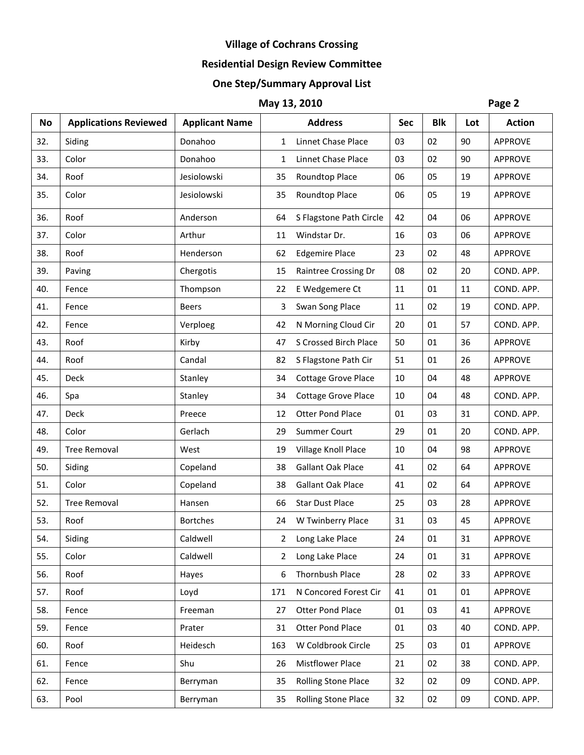# **Residential Design Review Committee**

# **One Step/Summary Approval List**

| <b>No</b> | <b>Applications Reviewed</b> | <b>Applicant Name</b> |     | <b>Address</b>             | <b>Sec</b> | <b>Blk</b> | Lot | <b>Action</b>  |
|-----------|------------------------------|-----------------------|-----|----------------------------|------------|------------|-----|----------------|
| 32.       | Siding                       | Donahoo               | 1   | Linnet Chase Place         | 03         | 02         | 90  | <b>APPROVE</b> |
| 33.       | Color                        | Donahoo               | 1   | Linnet Chase Place         | 03         | 02         | 90  | <b>APPROVE</b> |
| 34.       | Roof                         | Jesiolowski           | 35  | Roundtop Place             | 06         | 05         | 19  | <b>APPROVE</b> |
| 35.       | Color                        | Jesiolowski           | 35  | Roundtop Place             | 06         | 05         | 19  | <b>APPROVE</b> |
| 36.       | Roof                         | Anderson              | 64  | S Flagstone Path Circle    | 42         | 04         | 06  | <b>APPROVE</b> |
| 37.       | Color                        | Arthur                | 11  | Windstar Dr.               | 16         | 03         | 06  | <b>APPROVE</b> |
| 38.       | Roof                         | Henderson             | 62  | <b>Edgemire Place</b>      | 23         | 02         | 48  | <b>APPROVE</b> |
| 39.       | Paving                       | Chergotis             | 15  | Raintree Crossing Dr       | 08         | 02         | 20  | COND. APP.     |
| 40.       | Fence                        | Thompson              | 22  | E Wedgemere Ct             | 11         | 01         | 11  | COND. APP.     |
| 41.       | Fence                        | <b>Beers</b>          | 3   | Swan Song Place            | 11         | 02         | 19  | COND. APP.     |
| 42.       | Fence                        | Verploeg              | 42  | N Morning Cloud Cir        | 20         | 01         | 57  | COND. APP.     |
| 43.       | Roof                         | Kirby                 | 47  | S Crossed Birch Place      | 50         | 01         | 36  | <b>APPROVE</b> |
| 44.       | Roof                         | Candal                | 82  | S Flagstone Path Cir       | 51         | 01         | 26  | <b>APPROVE</b> |
| 45.       | Deck                         | Stanley               | 34  | <b>Cottage Grove Place</b> | 10         | 04         | 48  | <b>APPROVE</b> |
| 46.       | Spa                          | Stanley               | 34  | <b>Cottage Grove Place</b> | 10         | 04         | 48  | COND. APP.     |
| 47.       | Deck                         | Preece                | 12  | <b>Otter Pond Place</b>    | 01         | 03         | 31  | COND. APP.     |
| 48.       | Color                        | Gerlach               | 29  | <b>Summer Court</b>        | 29         | 01         | 20  | COND. APP.     |
| 49.       | <b>Tree Removal</b>          | West                  | 19  | Village Knoll Place        | 10         | 04         | 98  | <b>APPROVE</b> |
| 50.       | Siding                       | Copeland              | 38  | Gallant Oak Place          | 41         | 02         | 64  | <b>APPROVE</b> |
| 51.       | Color                        | Copeland              | 38  | <b>Gallant Oak Place</b>   | 41         | 02         | 64  | <b>APPROVE</b> |
| 52.       | <b>Tree Removal</b>          | Hansen                | 66  | <b>Star Dust Place</b>     | 25         | 03         | 28  | <b>APPROVE</b> |
| 53.       | Roof                         | <b>Bortches</b>       | 24  | W Twinberry Place          | 31         | 03         | 45  | <b>APPROVE</b> |
| 54.       | Siding                       | Caldwell              |     | 2 Long Lake Place          | 24         | 01         | 31  | APPROVE        |
| 55.       | Color                        | Caldwell              | 2   | Long Lake Place            | 24         | 01         | 31  | <b>APPROVE</b> |
| 56.       | Roof                         | Hayes                 | 6   | Thornbush Place            | 28         | 02         | 33  | <b>APPROVE</b> |
| 57.       | Roof                         | Loyd                  | 171 | N Concored Forest Cir      | 41         | 01         | 01  | <b>APPROVE</b> |
| 58.       | Fence                        | Freeman               | 27  | Otter Pond Place           | 01         | 03         | 41  | <b>APPROVE</b> |
| 59.       | Fence                        | Prater                | 31  | Otter Pond Place           | 01         | 03         | 40  | COND. APP.     |
| 60.       | Roof                         | Heidesch              | 163 | W Coldbrook Circle         | 25         | 03         | 01  | <b>APPROVE</b> |
| 61.       | Fence                        | Shu                   | 26  | <b>Mistflower Place</b>    | 21         | 02         | 38  | COND. APP.     |
| 62.       | Fence                        | Berryman              | 35  | <b>Rolling Stone Place</b> | 32         | 02         | 09  | COND. APP.     |
| 63.       | Pool                         | Berryman              | 35  | Rolling Stone Place        | 32         | 02         | 09  | COND. APP.     |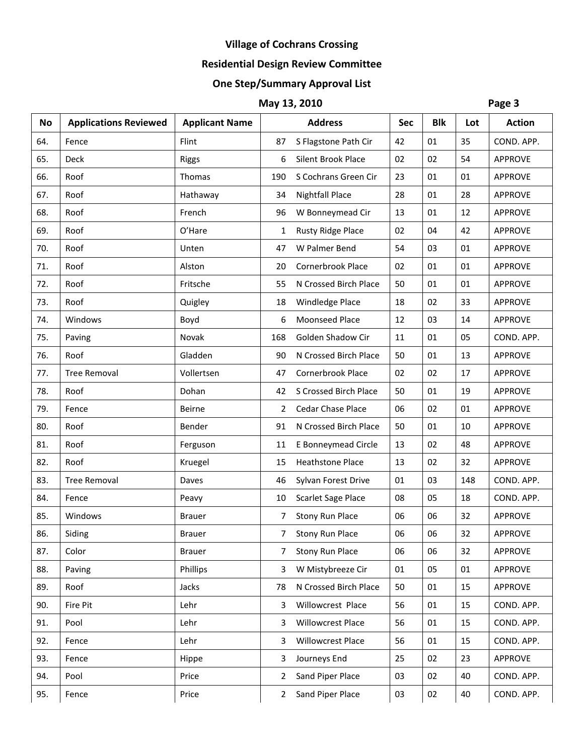# **Residential Design Review Committee**

# **One Step/Summary Approval List**

| <b>No</b> | <b>Applications Reviewed</b> | <b>Applicant Name</b> |                | <b>Address</b>            | <b>Sec</b> | <b>Blk</b> | Lot | <b>Action</b>  |
|-----------|------------------------------|-----------------------|----------------|---------------------------|------------|------------|-----|----------------|
| 64.       | Fence                        | Flint                 | 87             | S Flagstone Path Cir      | 42         | 01         | 35  | COND. APP.     |
| 65.       | Deck                         | <b>Riggs</b>          | 6              | <b>Silent Brook Place</b> | 02         | 02         | 54  | <b>APPROVE</b> |
| 66.       | Roof                         | Thomas                | 190            | S Cochrans Green Cir      | 23         | 01         | 01  | <b>APPROVE</b> |
| 67.       | Roof                         | Hathaway              | 34             | <b>Nightfall Place</b>    | 28         | 01         | 28  | <b>APPROVE</b> |
| 68.       | Roof                         | French                | 96             | W Bonneymead Cir          | 13         | 01         | 12  | <b>APPROVE</b> |
| 69.       | Roof                         | O'Hare                | 1              | <b>Rusty Ridge Place</b>  | 02         | 04         | 42  | <b>APPROVE</b> |
| 70.       | Roof                         | Unten                 | 47             | W Palmer Bend             | 54         | 03         | 01  | <b>APPROVE</b> |
| 71.       | Roof                         | Alston                | 20             | Cornerbrook Place         | 02         | 01         | 01  | <b>APPROVE</b> |
| 72.       | Roof                         | Fritsche              | 55             | N Crossed Birch Place     | 50         | 01         | 01  | <b>APPROVE</b> |
| 73.       | Roof                         | Quigley               | 18             | Windledge Place           | 18         | 02         | 33  | <b>APPROVE</b> |
| 74.       | Windows                      | Boyd                  | 6              | Moonseed Place            | 12         | 03         | 14  | <b>APPROVE</b> |
| 75.       | Paving                       | Novak                 | 168            | Golden Shadow Cir         | 11         | 01         | 05  | COND. APP.     |
| 76.       | Roof                         | Gladden               | 90             | N Crossed Birch Place     | 50         | 01         | 13  | <b>APPROVE</b> |
| 77.       | <b>Tree Removal</b>          | Vollertsen            | 47             | Cornerbrook Place         | 02         | 02         | 17  | <b>APPROVE</b> |
| 78.       | Roof                         | Dohan                 | 42             | S Crossed Birch Place     | 50         | 01         | 19  | <b>APPROVE</b> |
| 79.       | Fence                        | Beirne                | 2              | Cedar Chase Place         | 06         | 02         | 01  | <b>APPROVE</b> |
| 80.       | Roof                         | Bender                | 91             | N Crossed Birch Place     | 50         | 01         | 10  | <b>APPROVE</b> |
| 81.       | Roof                         | Ferguson              | 11             | E Bonneymead Circle       | 13         | 02         | 48  | <b>APPROVE</b> |
| 82.       | Roof                         | Kruegel               | 15             | <b>Heathstone Place</b>   | 13         | 02         | 32  | <b>APPROVE</b> |
| 83.       | <b>Tree Removal</b>          | Daves                 | 46             | Sylvan Forest Drive       | 01         | 03         | 148 | COND. APP.     |
| 84.       | Fence                        | Peavy                 | 10             | Scarlet Sage Place        | 08         | 05         | 18  | COND. APP.     |
| 85.       | Windows                      | <b>Brauer</b>         | 7              | <b>Stony Run Place</b>    | 06         | 06         | 32  | <b>APPROVE</b> |
| 86.       | Siding                       | <b>Brauer</b>         | $\overline{7}$ | <b>Stony Run Place</b>    | 06         | 06         | 32  | <b>APPROVE</b> |
| 87.       | Color                        | <b>Brauer</b>         | 7              | <b>Stony Run Place</b>    | 06         | 06         | 32  | <b>APPROVE</b> |
| 88.       | Paving                       | Phillips              | 3              | W Mistybreeze Cir         | 01         | 05         | 01  | <b>APPROVE</b> |
| 89.       | Roof                         | Jacks                 | 78             | N Crossed Birch Place     | 50         | 01         | 15  | <b>APPROVE</b> |
| 90.       | Fire Pit                     | Lehr                  | 3              | Willowcrest Place         | 56         | 01         | 15  | COND. APP.     |
| 91.       | Pool                         | Lehr                  | 3              | Willowcrest Place         | 56         | 01         | 15  | COND. APP.     |
| 92.       | Fence                        | Lehr                  | 3              | Willowcrest Place         | 56         | 01         | 15  | COND. APP.     |
| 93.       | Fence                        | Hippe                 | 3              | Journeys End              | 25         | 02         | 23  | <b>APPROVE</b> |
| 94.       | Pool                         | Price                 | 2              | Sand Piper Place          | 03         | 02         | 40  | COND. APP.     |
| 95.       | Fence                        | Price                 | $\overline{2}$ | Sand Piper Place          | 03         | 02         | 40  | COND. APP.     |